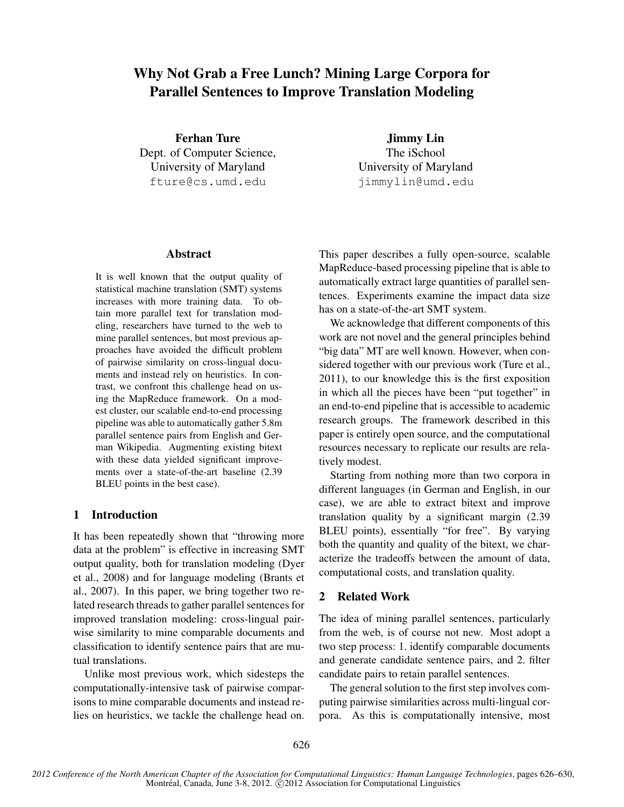# Why Not Grab a Free Lunch? Mining Large Corpora for Parallel Sentences to Improve Translation Modeling

Ferhan Ture Dept. of Computer Science, University of Maryland fture@cs.umd.edu

Jimmy Lin The iSchool University of Maryland jimmylin@umd.edu

## Abstract

It is well known that the output quality of statistical machine translation (SMT) systems increases with more training data. To obtain more parallel text for translation modeling, researchers have turned to the web to mine parallel sentences, but most previous approaches have avoided the difficult problem of pairwise similarity on cross-lingual documents and instead rely on heuristics. In contrast, we confront this challenge head on using the MapReduce framework. On a modest cluster, our scalable end-to-end processing pipeline was able to automatically gather 5.8m parallel sentence pairs from English and German Wikipedia. Augmenting existing bitext with these data yielded significant improvements over a state-of-the-art baseline (2.39 BLEU points in the best case).

## 1 Introduction

It has been repeatedly shown that "throwing more data at the problem" is effective in increasing SMT output quality, both for translation modeling (Dyer et al., 2008) and for language modeling (Brants et al., 2007). In this paper, we bring together two related research threads to gather parallel sentences for improved translation modeling: cross-lingual pairwise similarity to mine comparable documents and classification to identify sentence pairs that are mutual translations.

Unlike most previous work, which sidesteps the computationally-intensive task of pairwise comparisons to mine comparable documents and instead relies on heuristics, we tackle the challenge head on. This paper describes a fully open-source, scalable MapReduce-based processing pipeline that is able to automatically extract large quantities of parallel sentences. Experiments examine the impact data size has on a state-of-the-art SMT system.

We acknowledge that different components of this work are not novel and the general principles behind "big data" MT are well known. However, when considered together with our previous work (Ture et al., 2011), to our knowledge this is the first exposition in which all the pieces have been "put together" in an end-to-end pipeline that is accessible to academic research groups. The framework described in this paper is entirely open source, and the computational resources necessary to replicate our results are relatively modest.

Starting from nothing more than two corpora in different languages (in German and English, in our case), we are able to extract bitext and improve translation quality by a significant margin (2.39 BLEU points), essentially "for free". By varying both the quantity and quality of the bitext, we characterize the tradeoffs between the amount of data, computational costs, and translation quality.

# 2 Related Work

The idea of mining parallel sentences, particularly from the web, is of course not new. Most adopt a two step process: 1. identify comparable documents and generate candidate sentence pairs, and 2. filter candidate pairs to retain parallel sentences.

The general solution to the first step involves computing pairwise similarities across multi-lingual corpora. As this is computationally intensive, most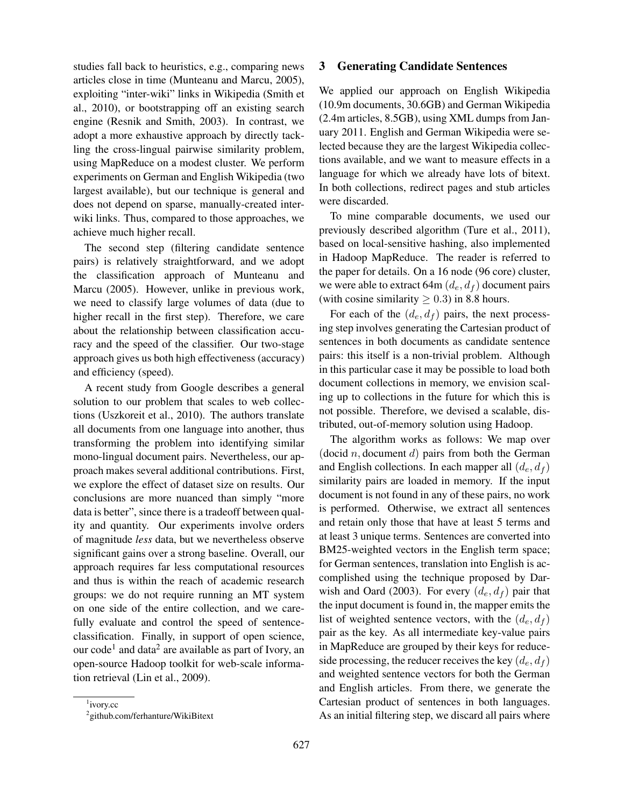studies fall back to heuristics, e.g., comparing news articles close in time (Munteanu and Marcu, 2005), exploiting "inter-wiki" links in Wikipedia (Smith et al., 2010), or bootstrapping off an existing search engine (Resnik and Smith, 2003). In contrast, we adopt a more exhaustive approach by directly tackling the cross-lingual pairwise similarity problem, using MapReduce on a modest cluster. We perform experiments on German and English Wikipedia (two largest available), but our technique is general and does not depend on sparse, manually-created interwiki links. Thus, compared to those approaches, we achieve much higher recall.

The second step (filtering candidate sentence pairs) is relatively straightforward, and we adopt the classification approach of Munteanu and Marcu (2005). However, unlike in previous work, we need to classify large volumes of data (due to higher recall in the first step). Therefore, we care about the relationship between classification accuracy and the speed of the classifier. Our two-stage approach gives us both high effectiveness (accuracy) and efficiency (speed).

A recent study from Google describes a general solution to our problem that scales to web collections (Uszkoreit et al., 2010). The authors translate all documents from one language into another, thus transforming the problem into identifying similar mono-lingual document pairs. Nevertheless, our approach makes several additional contributions. First, we explore the effect of dataset size on results. Our conclusions are more nuanced than simply "more data is better", since there is a tradeoff between quality and quantity. Our experiments involve orders of magnitude *less* data, but we nevertheless observe significant gains over a strong baseline. Overall, our approach requires far less computational resources and thus is within the reach of academic research groups: we do not require running an MT system on one side of the entire collection, and we carefully evaluate and control the speed of sentenceclassification. Finally, in support of open science, our code<sup>1</sup> and data<sup>2</sup> are available as part of Ivory, an open-source Hadoop toolkit for web-scale information retrieval (Lin et al., 2009).

#### 3 Generating Candidate Sentences

We applied our approach on English Wikipedia (10.9m documents, 30.6GB) and German Wikipedia (2.4m articles, 8.5GB), using XML dumps from January 2011. English and German Wikipedia were selected because they are the largest Wikipedia collections available, and we want to measure effects in a language for which we already have lots of bitext. In both collections, redirect pages and stub articles were discarded.

To mine comparable documents, we used our previously described algorithm (Ture et al., 2011), based on local-sensitive hashing, also implemented in Hadoop MapReduce. The reader is referred to the paper for details. On a 16 node (96 core) cluster, we were able to extract 64m  $(d_e, d_f)$  document pairs (with cosine similarity  $\geq$  0.3) in 8.8 hours.

For each of the  $(d_e, d_f)$  pairs, the next processing step involves generating the Cartesian product of sentences in both documents as candidate sentence pairs: this itself is a non-trivial problem. Although in this particular case it may be possible to load both document collections in memory, we envision scaling up to collections in the future for which this is not possible. Therefore, we devised a scalable, distributed, out-of-memory solution using Hadoop.

The algorithm works as follows: We map over (docid  $n$ , document  $d$ ) pairs from both the German and English collections. In each mapper all  $(d_e, d_f)$ similarity pairs are loaded in memory. If the input document is not found in any of these pairs, no work is performed. Otherwise, we extract all sentences and retain only those that have at least 5 terms and at least 3 unique terms. Sentences are converted into BM25-weighted vectors in the English term space; for German sentences, translation into English is accomplished using the technique proposed by Darwish and Oard (2003). For every  $(d_e, d_f)$  pair that the input document is found in, the mapper emits the list of weighted sentence vectors, with the  $(d_e, d_f)$ pair as the key. As all intermediate key-value pairs in MapReduce are grouped by their keys for reduceside processing, the reducer receives the key  $(d_e, d_f)$ and weighted sentence vectors for both the German and English articles. From there, we generate the Cartesian product of sentences in both languages. As an initial filtering step, we discard all pairs where

<sup>1</sup> ivory.cc

<sup>2</sup> github.com/ferhanture/WikiBitext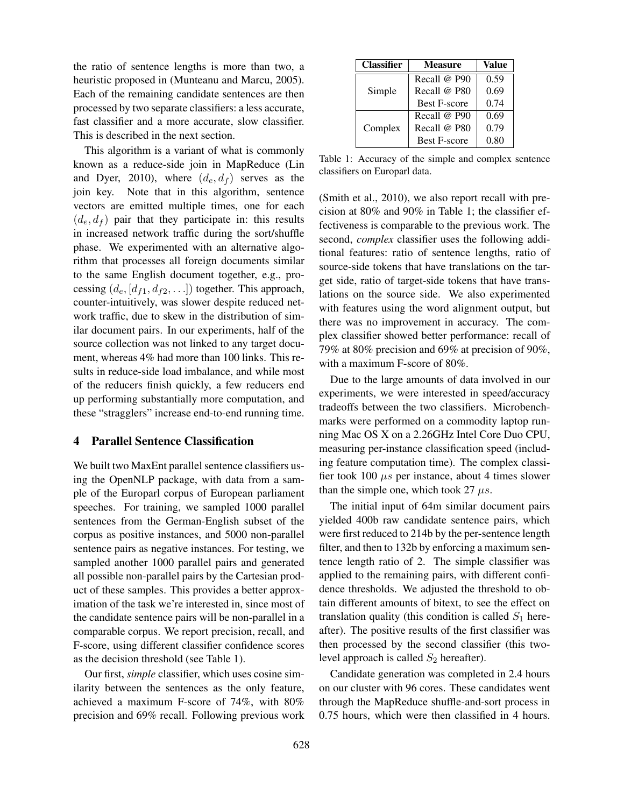the ratio of sentence lengths is more than two, a heuristic proposed in (Munteanu and Marcu, 2005). Each of the remaining candidate sentences are then processed by two separate classifiers: a less accurate, fast classifier and a more accurate, slow classifier. This is described in the next section.

This algorithm is a variant of what is commonly known as a reduce-side join in MapReduce (Lin and Dyer, 2010), where  $(d_e, d_f)$  serves as the join key. Note that in this algorithm, sentence vectors are emitted multiple times, one for each  $(d_e, d_f)$  pair that they participate in: this results in increased network traffic during the sort/shuffle phase. We experimented with an alternative algorithm that processes all foreign documents similar to the same English document together, e.g., processing  $(d_e, [d_{f1}, d_{f2}, \ldots])$  together. This approach, counter-intuitively, was slower despite reduced network traffic, due to skew in the distribution of similar document pairs. In our experiments, half of the source collection was not linked to any target document, whereas 4% had more than 100 links. This results in reduce-side load imbalance, and while most of the reducers finish quickly, a few reducers end up performing substantially more computation, and these "stragglers" increase end-to-end running time.

#### 4 Parallel Sentence Classification

We built two MaxEnt parallel sentence classifiers using the OpenNLP package, with data from a sample of the Europarl corpus of European parliament speeches. For training, we sampled 1000 parallel sentences from the German-English subset of the corpus as positive instances, and 5000 non-parallel sentence pairs as negative instances. For testing, we sampled another 1000 parallel pairs and generated all possible non-parallel pairs by the Cartesian product of these samples. This provides a better approximation of the task we're interested in, since most of the candidate sentence pairs will be non-parallel in a comparable corpus. We report precision, recall, and F-score, using different classifier confidence scores as the decision threshold (see Table 1).

Our first, *simple* classifier, which uses cosine similarity between the sentences as the only feature, achieved a maximum F-score of 74%, with 80% precision and 69% recall. Following previous work

| <b>Classifier</b> | <b>Measure</b>      | Value |
|-------------------|---------------------|-------|
| Simple            | Recall $@$ P90      | 0.59  |
|                   | Recall @ P80        | 0.69  |
|                   | <b>Best F-score</b> | 0.74  |
| Complex           | Recall $@$ P90      | 0.69  |
|                   | Recall @ P80        | 0.79  |
|                   | <b>Best F-score</b> | 0.80  |

Table 1: Accuracy of the simple and complex sentence classifiers on Europarl data.

(Smith et al., 2010), we also report recall with precision at 80% and 90% in Table 1; the classifier effectiveness is comparable to the previous work. The second, *complex* classifier uses the following additional features: ratio of sentence lengths, ratio of source-side tokens that have translations on the target side, ratio of target-side tokens that have translations on the source side. We also experimented with features using the word alignment output, but there was no improvement in accuracy. The complex classifier showed better performance: recall of 79% at 80% precision and 69% at precision of 90%, with a maximum F-score of 80%.

Due to the large amounts of data involved in our experiments, we were interested in speed/accuracy tradeoffs between the two classifiers. Microbenchmarks were performed on a commodity laptop running Mac OS X on a 2.26GHz Intel Core Duo CPU, measuring per-instance classification speed (including feature computation time). The complex classifier took 100  $\mu s$  per instance, about 4 times slower than the simple one, which took 27  $\mu s$ .

The initial input of 64m similar document pairs yielded 400b raw candidate sentence pairs, which were first reduced to 214b by the per-sentence length filter, and then to 132b by enforcing a maximum sentence length ratio of 2. The simple classifier was applied to the remaining pairs, with different confidence thresholds. We adjusted the threshold to obtain different amounts of bitext, to see the effect on translation quality (this condition is called  $S_1$  hereafter). The positive results of the first classifier was then processed by the second classifier (this twolevel approach is called  $S_2$  hereafter).

Candidate generation was completed in 2.4 hours on our cluster with 96 cores. These candidates went through the MapReduce shuffle-and-sort process in 0.75 hours, which were then classified in 4 hours.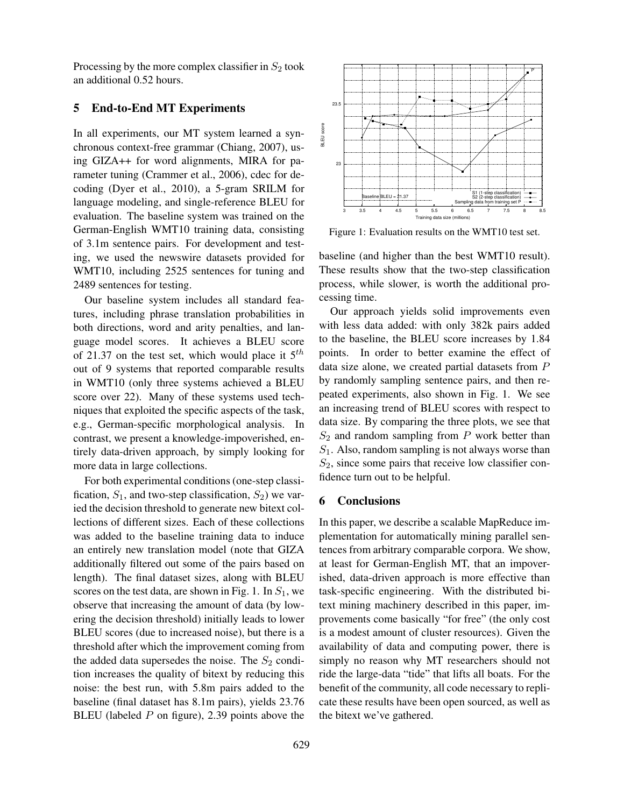Processing by the more complex classifier in  $S_2$  took an additional 0.52 hours.

## 5 End-to-End MT Experiments

In all experiments, our MT system learned a synchronous context-free grammar (Chiang, 2007), using GIZA++ for word alignments, MIRA for parameter tuning (Crammer et al., 2006), cdec for decoding (Dyer et al., 2010), a 5-gram SRILM for language modeling, and single-reference BLEU for evaluation. The baseline system was trained on the German-English WMT10 training data, consisting of 3.1m sentence pairs. For development and testing, we used the newswire datasets provided for WMT10, including 2525 sentences for tuning and 2489 sentences for testing.

Our baseline system includes all standard features, including phrase translation probabilities in both directions, word and arity penalties, and language model scores. It achieves a BLEU score of 21.37 on the test set, which would place it  $5^{th}$ out of 9 systems that reported comparable results in WMT10 (only three systems achieved a BLEU score over 22). Many of these systems used techniques that exploited the specific aspects of the task, e.g., German-specific morphological analysis. In contrast, we present a knowledge-impoverished, entirely data-driven approach, by simply looking for more data in large collections.

For both experimental conditions (one-step classification,  $S_1$ , and two-step classification,  $S_2$ ) we varied the decision threshold to generate new bitext collections of different sizes. Each of these collections was added to the baseline training data to induce an entirely new translation model (note that GIZA additionally filtered out some of the pairs based on length). The final dataset sizes, along with BLEU scores on the test data, are shown in Fig. 1. In  $S_1$ , we observe that increasing the amount of data (by lowering the decision threshold) initially leads to lower BLEU scores (due to increased noise), but there is a threshold after which the improvement coming from the added data supersedes the noise. The  $S_2$  condition increases the quality of bitext by reducing this noise: the best run, with 5.8m pairs added to the baseline (final dataset has 8.1m pairs), yields 23.76 BLEU (labeled  $P$  on figure), 2.39 points above the



Figure 1: Evaluation results on the WMT10 test set.

baseline (and higher than the best WMT10 result). These results show that the two-step classification process, while slower, is worth the additional processing time.

Our approach yields solid improvements even with less data added: with only 382k pairs added to the baseline, the BLEU score increases by 1.84 points. In order to better examine the effect of data size alone, we created partial datasets from P by randomly sampling sentence pairs, and then repeated experiments, also shown in Fig. 1. We see an increasing trend of BLEU scores with respect to data size. By comparing the three plots, we see that  $S_2$  and random sampling from  $P$  work better than  $S_1$ . Also, random sampling is not always worse than  $S_2$ , since some pairs that receive low classifier confidence turn out to be helpful.

#### 6 Conclusions

In this paper, we describe a scalable MapReduce implementation for automatically mining parallel sentences from arbitrary comparable corpora. We show, at least for German-English MT, that an impoverished, data-driven approach is more effective than task-specific engineering. With the distributed bitext mining machinery described in this paper, improvements come basically "for free" (the only cost is a modest amount of cluster resources). Given the availability of data and computing power, there is simply no reason why MT researchers should not ride the large-data "tide" that lifts all boats. For the benefit of the community, all code necessary to replicate these results have been open sourced, as well as the bitext we've gathered.